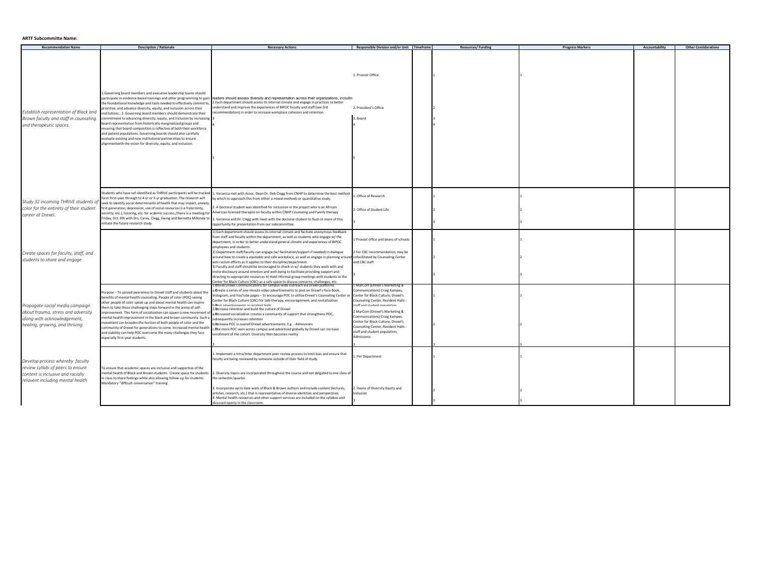## **ARTF Subcommitte Name:**

| <b>Recommendation Name</b>                                                                                                                    | <b>Description / Rationale</b>                                                                                                                                                                                                                                                                                                                                                                                                                                                                                                                                                                                                                                                                                | <b>Necessary Actions</b>                                                                                                                                                                                                                                                                                                                                                                                                                                                                                                                                                                                                                                                                                                                                                                                                                                                                                                                                       | Responsible Division and/or Unit Timeframe                                                                                                                                                                                                                                                                                                                                | <b>Resources/Funding</b> | <b>Progress Markers</b> | Accountability | <b>Other Considerations</b> |
|-----------------------------------------------------------------------------------------------------------------------------------------------|---------------------------------------------------------------------------------------------------------------------------------------------------------------------------------------------------------------------------------------------------------------------------------------------------------------------------------------------------------------------------------------------------------------------------------------------------------------------------------------------------------------------------------------------------------------------------------------------------------------------------------------------------------------------------------------------------------------|----------------------------------------------------------------------------------------------------------------------------------------------------------------------------------------------------------------------------------------------------------------------------------------------------------------------------------------------------------------------------------------------------------------------------------------------------------------------------------------------------------------------------------------------------------------------------------------------------------------------------------------------------------------------------------------------------------------------------------------------------------------------------------------------------------------------------------------------------------------------------------------------------------------------------------------------------------------|---------------------------------------------------------------------------------------------------------------------------------------------------------------------------------------------------------------------------------------------------------------------------------------------------------------------------------------------------------------------------|--------------------------|-------------------------|----------------|-----------------------------|
| Establish representation of Black and<br>Brown faculty and staff in counseling<br>and therapeutic spaces.                                     | Governing board members and executive leadership teams should<br>the foundational knowledge and tools needed to effectively commit to,<br>prioritize, and advance diversity, equity, and inclusion across their<br>nstitutions.; 2. Governing board members should demonstrate their<br>commitment to advancing diversity, equity, and inclusion by increasing<br>board representation from historically marginalized groups and<br>nsuring that board composition is reflective of both their workforce<br>and patient populations. Governing boards should also carefully<br>valuate existing and new institutional partnerships to ensure<br>lignmentwith the vision for diversity, equity, and inclusion. | participate in evidence-based trainings and other programming to gain deaders should assess diversity and representation across their organizations, includin<br>2 Each department should assess its internal climate and engage in practices to better<br>understand and improve the experiences of BIPOC faculty and staff (see 3rd<br>recommendation) in order to increase workplace cohesion and retention                                                                                                                                                                                                                                                                                                                                                                                                                                                                                                                                                 | 1. Provost Office<br>2. President's Office<br>3. Board                                                                                                                                                                                                                                                                                                                    |                          |                         |                |                             |
| Study 32 incoming THRIVE students of<br>color for the entirety of their student<br>career at Drexel.                                          | tudents who have sef-identified as THRIVE participants will be tracked<br>form First-year through to 4-yr or 5-yr graduation. The research will<br>seek to identify social determinants of health that may impact, anxiety<br>irst generation, depression, use of social resources (i.e fraterninty,<br>sorority, etc.), tutoring, etc. for acdemic success./there is a meeting for<br>Friday, Oct. 9th with Drs. Carey, Clegg, Ewing and Bernetta Millonde to<br>nitiate the future research study                                                                                                                                                                                                           | . Veronica met with Assoc. Dean Dr. Deb Clegg from CNHP to determine the best method<br>by which to approach this from either a mixed-methods or quantitative study.<br>. A Doctoral student was identified for inclussion in the project who is an African<br>American licensed therapist on faculty within CNHP Counselng and Family therapy<br>. Veronica and Dr. Clegg with meet with the doctoral student to flush ot more of this<br>opportunity for presentation from our subcommittee.                                                                                                                                                                                                                                                                                                                                                                                                                                                                 | 1. Office of Research<br>2. Office of Student Life                                                                                                                                                                                                                                                                                                                        |                          |                         |                |                             |
| Create spaces for faculty, staff, and<br>students to share and engage                                                                         |                                                                                                                                                                                                                                                                                                                                                                                                                                                                                                                                                                                                                                                                                                               | L) Each department should assess its internal climate and faciliate anonymous feedback<br>from staff and faculty within the department, as well as students who engage w/ the<br>department, in order to better understand general climate and experiences of BIPOC<br>employees and students.<br>2) Department staff/faculty can engage (w/ facilitation/support if needed) in dialogue<br>around how to create a equitable and safe workplace, as well as engage in planning around cofacilitated by Counseling Center<br>anti-racism efforts as it applies to their discipline/department.<br>3) Faculty and staff should be encouraged to check-in w/ students they work with and<br>invite disclosure around emotion and well-being to facilitate providing support and<br>directing to appropriate resources 4) Hold informal group meetings with students at the<br>Center for Black Culture (CBC) as a safe space to discuss concerns, challenges, etc | Provost office and deans of schools<br>For CBC recommendation, may be<br>and CBC staff.                                                                                                                                                                                                                                                                                   |                          |                         |                |                             |
| Propagate social media campaign<br>about trauma, stress and adversity<br>along with acknowledgement,<br>healing, growing, and thriving        | Purpose - To spread awareness to Drexel staff and students about the<br>benefits of mental health counseling. People of color (POC) seeing<br>other people of color speak-up and about mental health can inspire<br>hem to take those challenging steps forward in the arena of self-<br>mprovement. This form of socialization can spawn a new movement of<br>mental health improvement in the black and brown community. Such a<br>novement can broaden the horizon of both people of color and the<br>community of Drexel for generations to come. Increased mental health<br>and stability can help POC overcome the many challenges they face<br>especially first-year students.                         | .Dtilize Drexel Communications for campus-wide outreach via Drexel platfo<br>a Create a series of one-minute video advertisements to post on Drexel's Face Book,<br>Instagram, and YouTube pages - to encourage POC to utilize Drexel's Counseling Center or<br>Center for Black Culture (CBC) for talk-therapy, encouragement, and revitalization<br>Bort advortisements in secident halls<br>2. Increase retention and build the culture of Drexel<br>a. Increased socialization creates a community of support that strengthens POC,<br>subsequently increases retention<br>b. Phicrease POC in overall Drexel advertisements. E.g. - Admissions<br>The more POC seen across campus and advertised globally by Drexel can increase.<br>nrollment of the cohort. Diversity then becomes reality.                                                                                                                                                             | VlarCom (Drexel's Marketing (<br>ommunications) Craig Kampes,<br>Center for Black Culture, Drexel's<br>Counseling Center, Resident Halls -<br>noiteluonn toulurta hoe ffet<br>2 MarCom (Drexel's Marketing &<br>Communications) Craig Kampes,<br>lenter for Black Culture, Drexel's<br>Counseling Center, Resident Halls -<br>staff and student population,<br>Admissions |                          |                         |                |                             |
| Develop process whereby faculty<br>review syllabi of peers to ensure<br>content is inclusive and racially<br>relavent including mental health | To ensure that academic spaces are inclusive and supportive of the<br>nental health of Black and Brown students. Create space for students<br>n class to share feelings while also allowing follow-up for students.<br>Mandatory "difficult conversation" training                                                                                                                                                                                                                                                                                                                                                                                                                                            | L. Implement a Intra/Inter department peer review process to limit bias and ensure that<br>faculty are being reviewed by someone outside of their field of study.<br>. Diversity topics are incorporated throughout the course and not delgated to one class of<br>the semester/quarter.<br>. Incorporate up to date work of Black & Brown authors and include content (lectures,<br>articles, research, etc.) that is representative of diverse identities and perspectives.<br>4. Mental health resources and other support services are included on the syllabus and<br>icussed openly in the classroom.                                                                                                                                                                                                                                                                                                                                                    | . Per Department<br>. Deans of Diversity Equity and<br>nclusion                                                                                                                                                                                                                                                                                                           |                          |                         |                |                             |